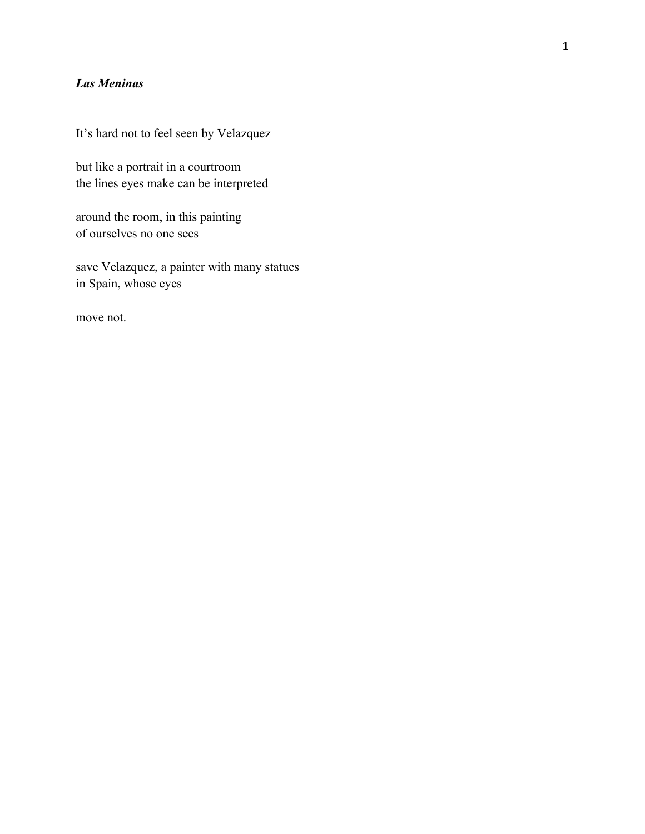## *Las Meninas*

It's hard not to feel seen by Velazquez

but like a portrait in a courtroom the lines eyes make can be interpreted

around the room, in this painting of ourselves no one sees

save Velazquez, a painter with many statues in Spain, whose eyes

move not.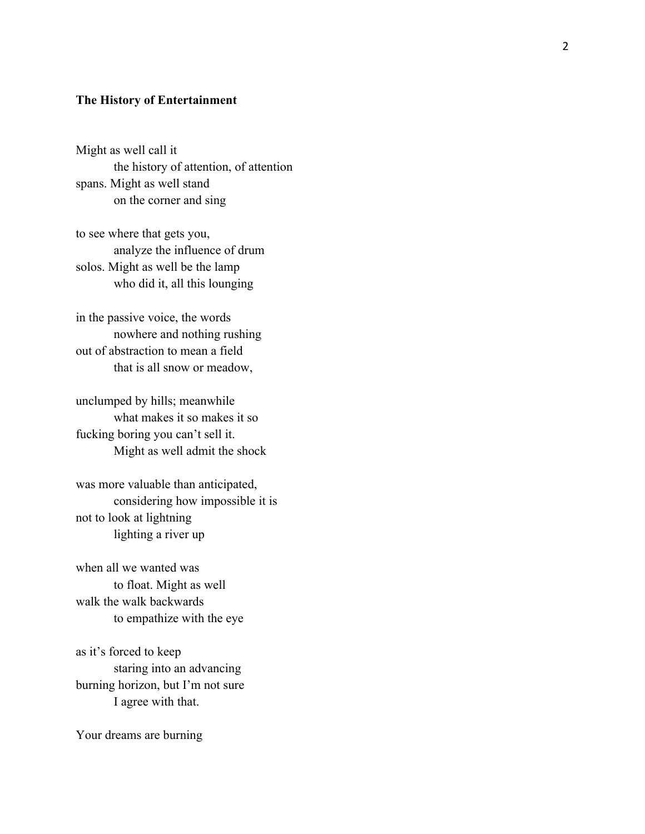## **The History of Entertainment**

Might as well call it the history of attention, of attention spans. Might as well stand on the corner and sing

to see where that gets you, analyze the influence of drum solos. Might as well be the lamp who did it, all this lounging

in the passive voice, the words nowhere and nothing rushing out of abstraction to mean a field that is all snow or meadow,

unclumped by hills; meanwhile what makes it so makes it so fucking boring you can't sell it. Might as well admit the shock

was more valuable than anticipated, considering how impossible it is not to look at lightning lighting a river up

when all we wanted was to float. Might as well walk the walk backwards to empathize with the eye

as it's forced to keep staring into an advancing burning horizon, but I'm not sure I agree with that.

Your dreams are burning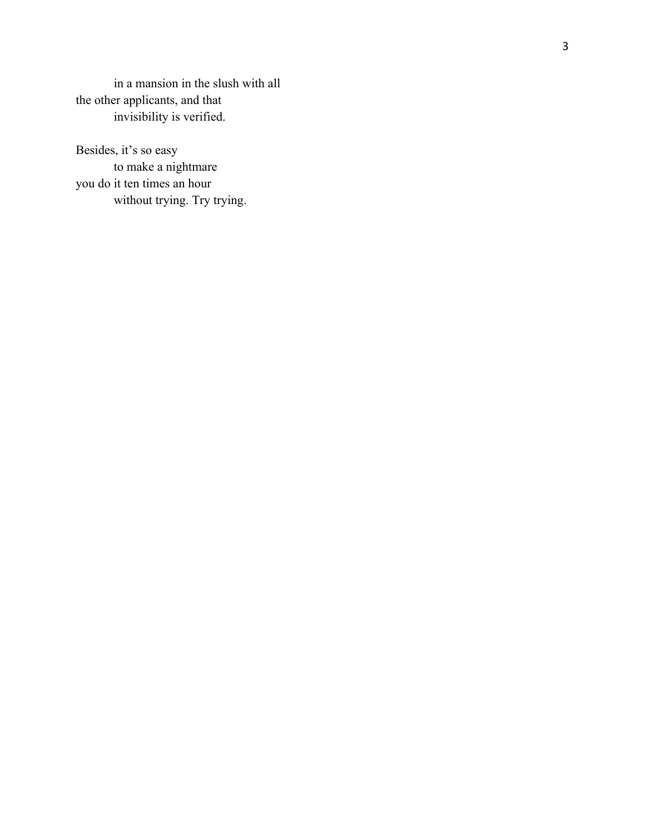in a mansion in the slush with all the other applicants, and that invisibility is verified.

Besides, it's so easy to make a nightmare you do it ten times an hour without trying. Try trying.